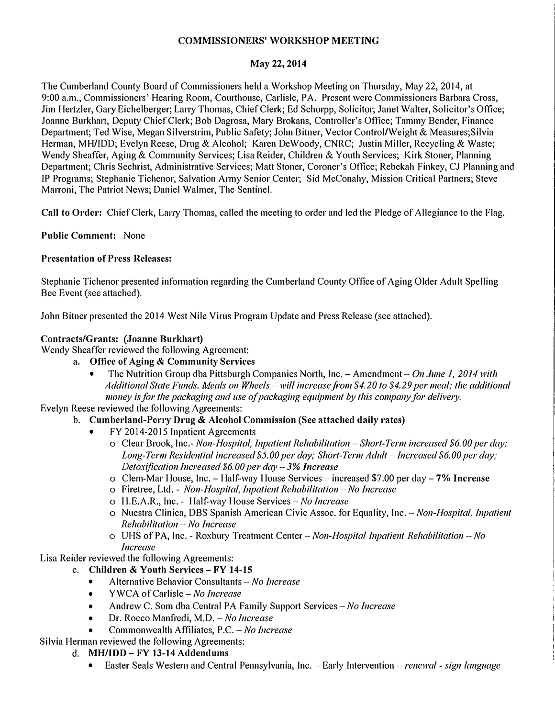### **COMMISSIONERS' WORKSHOP MEETING**

### **May 22, 2014**

The Cumberland County Board of Commissioners held a Workshop Meeting on Thursday, May 22, 2014, at 9:00 a.m., Commissioners' Hearing Room, Courthouse, Carlisle, PA. Present were Commissioners Barbara Cross, Jim He1tzler, Gaiy Eichelberger; Larry Thomas, Chief Clerk; Ed Schorpp, Solicitor; Janet Walter, Solicitor's Office; Joanne Burkhart, Deputy Chief Clerk; Bob Dagrosa, Mary Brokans, Controller's Office; Tammy Bender, Finance Department; Ted Wise, Megan Silverstrim, Public Safety; John Bitner, Vector Control/Weight & Measures;Silvia Herman, MH/IDD; Evelyn Reese, Drng & Alcohol; Karen De Woody, CNRC; Justin Miller, Recycling & Waste; Wendy Sheaffer, Aging & Community Services; Lisa Reider, Children & Youth Services; Kirk Stoner, Planning Depmtment; Chris Sechrist, Administrative Services; Matt Stoner, Coroner's Office; Rebekah Finkey, CJ Planning and IP Programs; Stephanie Tichenor, Salvation Army Senior Center; Sid Mcconahy, Mission Critical Partners; Steve Marroni, The Patriot News; Daniel Walmer, The Sentinel.

**Call to Order:** Chief Clerk, Lany Thomas, called the meeting to order and led the Pledge of Allegiance to the Flag.

**Public Comment:** None

## **Presentation of Press Releases:**

Stephanie Tichenor presented information regarding the Cumberland County Office of Aging Older Adult Spelling Bee Event (see attached).

John Bitner presented the 2014 West Nile Virus Program Update and Press Release (see attached).

## **Contracts/Grants: (Joanne Burkhart)**

Wendy Sheaffer reviewed the following Agreement:

- **a. Office of Aging & Community Services** 
	- The Nutrition Group dba Pittsburgh Companies North, Inc. Amendment *On June I, 2014 with Additional State Funds, Meals 011 Wheels* - will *increase from \$4.20 to \$4.29 per meal; the additional money is for the packaging and use of packaging equipment by this company for delivery.*

Evelyn Reese reviewed the following Agreements:

# b. **Cumberland-Perry Drug** & **Alcohol Commission (See attached daily rates)**

- FY 2014-2015 Inpatient Agreements
	- o Clear Brook, Inc.- *Non-Hospital, Inpatient Rehabilitation* -*Short-Term increased \$6. 00 per day; Long-Term Residential increased \$5.00 per day; Short-Term Adult-Increased \$6.00 per day; Detoxification Increased \$6. 00 per day* - *3% Increase*
	- o Clem-Mar House, Inc. Half-way House Services increased \$7.00 per day- 7% **Increase**
	- o Firetree, Ltd. *Non-Hospital, Inpatient Rehabilitation No Increase*
	- o H.E.A.R., Inc. Half-way House Services-No *Increase*
	- o Nuestra Clinica, DBS Spanish American Civic Assoc. for Equality, Inc. *Non-Hospital. Inpatient Rehabilitation* - *No Increase*
	- o Ul-1S of PA, Inc. Roxbury Treatment Center *Non-Hospital Inpatient Rehabilitation No Increase*

Lisa Reider reviewed the following Agreements:

# c. **Children & Youth Services** - **FY 14-15**

- Alternative Behavior Consultants *No Increase*<br>• YWCA of Carlisle *No Increase*
- 
- Andrew C. Som dba Central PA Family Support Services *No Increase*
- Dr. Rocco Manf<sup>r</sup> edi, M.D. *-No Increase*
- Commonwealth Affiliates, P.C. *-No Increase*

# Silvia Herman reviewed the following Agreements:

### d. **MH/IDD**- **FY 13-14 Addendums**

• Easter Seals Western and Central Pennsylvania, Inc. -- Early Intervention -*- renewal - sign language*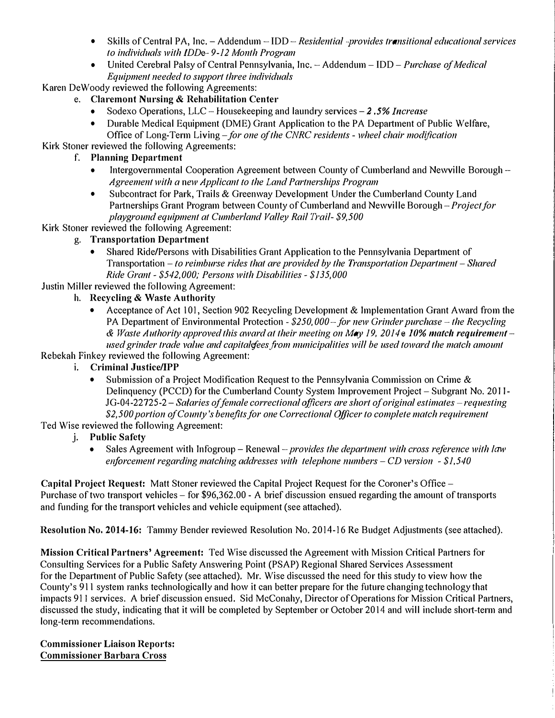- Skills of Central PA, Inc. Addendum IDD *Residential -provides transitional educational services to individuals with IDDe- 9-12 Month Program*
- **United Cerebral Palsy of Central Pennsylvania, Inc. -Addendum - !DD -** *Purchase of Medical Equipment needed to support three individuals*

**Karen De Woody reviewed the following Agreements:** 

- **e. Claremont Nursing & Rehabilitation Center** 
	- **Sodexo Operations, LLC - Housekeeping and laundry services -***2 .5% Increase*
	- **Durable Medical Equipment (DME) Grant Application to the PA Department of Public Welfare, Office of Long-Term Living-** *for one of the CNRC residents* **-** *wheel chair modification*

**Kirk Stoner reviewed the following Agreements:** 

- **f. Planning Department** 
	- **Intergovernmental Cooperation Agreement between County of Cumberland and Newville Borough -** *Agreement with a new Applicant lo the Land Partnerships Program*
	- **Subcontract for Park, Trails & Greenway Development Under the Cumberland County Land**  Partnerships Grant Program between County of Cumberland and Newville Borough – *Project for playground equipment at Cumberland Valley Rail frail- \$9,500*
- **Kirk Stoner reviewed the following Agreement:** 
	- **g. Transportation Department** 
		- **Shared Ride/Persons with Disabilities Grant Application to the Pennsylvania Department of Transportation –** *to reimburse rides that are provided by the Transportation Department* **–** *Shared Ride Grant* **-** *\$542,000; Persons with Disabilities* **-** *\$135,000*

**Justin Miller reviewed the following Agreement:** 

- **h. Recycling & Waste Authority** 
	- **•** Acceptance of Act 101, Section 902 Recycling Development & Implementation Grant Award from the **PA Department of Environmental Protection -** *\$250, 000- for new Grinder purchase* **-** *the Recycling & Waste Authority approved this award at their meeting on May 19, 2014e- 10% match requirement*used grinder trade value and capitalefees from municipalities will be used toward the match amount

## **Rebekah Finkey reviewed the following Agreement:**

- **i. Criminal Justice/IPP** 
	- **Submission of a Project Modification Request to the Pennsylvania Commission on Crime & Delinquency (PCCD) for the Cumberland County System Improvement Project - Subgrant No. 20 I I-JG-04-22725-2** *-Salaries of female correctional officers are short of original estimates-requesting \$2,500 portion of County's benefits for one Correctional Officer to complete match requirement*

**Ted Wise reviewed the following Agreement:** 

- **j. Public Safety** 
	- **Sales Agreement with Infogroup Renewal -***provides the department with cross reference with law e1iforcement regarding matching addresses with telephone numbers* **-** *CD version* **-** *\$1,540*

**Capital Project Request: Matt Stoner reviewed the Capital Project Request for the Coroner's Office -** Purchase of two transport vehicles – for \$96,362.00 - A brief discussion ensued regarding the amount of transports **and funding for the transport vehicles and vehicle equipment (see attached).** 

**Resolution No, 2014-16: Tammy Bender reviewed Resolution No. 2014-16 Re Budget Adjustments (see attached).** 

**Mission Critical Partners' Agreement: Ted Wise discussed the Agreement with Mission Critical Paiiners for Consulting Services for a Public Safety Answering Point (PSAP) Regional Shared Services Assessment for the Department of Public Safety (see attached). Mr. Wise discussed the need for this study to view how the County's 911 system ranks technologically and how it can better prepare for the future changing technology that**  impacts 911 services. A brief discussion ensued. Sid McConahy, Director of Operations for Mission Critical Partners, discussed the study, indicating that it will be completed by September or October 2014 and will include short-term and **long-term recommendations.** 

**Commissioner Liaison Reports: Commissioner Barbara Cross**